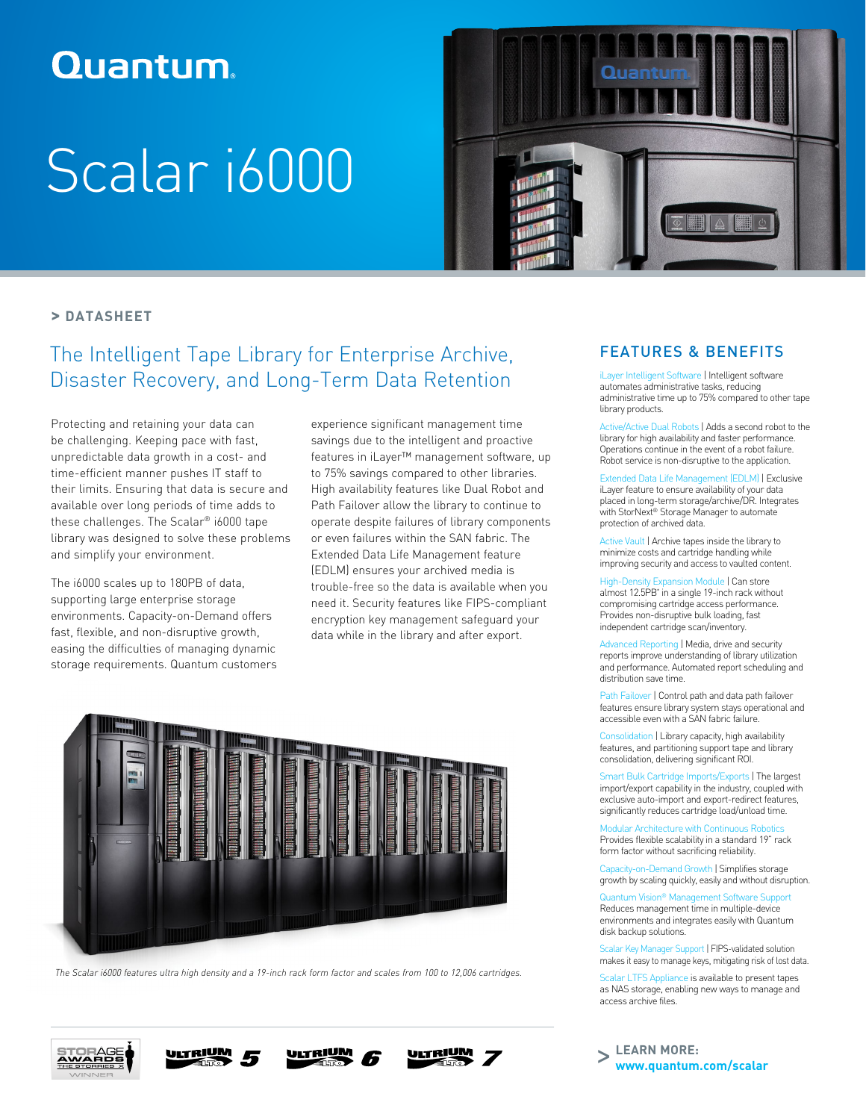# **Quantum**

# Scalar i6000



## **> DATASHEET**

# The Intelligent Tape Library for Enterprise Archive, Disaster Recovery, and Long-Term Data Retention

Protecting and retaining your data can be challenging. Keeping pace with fast, unpredictable data growth in a cost- and time-efficient manner pushes IT staff to their limits. Ensuring that data is secure and available over long periods of time adds to these challenges. The Scalar® i6000 tape library was designed to solve these problems and simplify your environment.

The i6000 scales up to 180PB of data, supporting large enterprise storage environments. Capacity-on-Demand offers fast, flexible, and non-disruptive growth, easing the difficulties of managing dynamic storage requirements. Quantum customers experience significant management time savings due to the intelligent and proactive features in iLayer™ management software, up to 75% savings compared to other libraries. High availability features like Dual Robot and Path Failover allow the library to continue to operate despite failures of library components or even failures within the SAN fabric. The Extended Data Life Management feature (EDLM) ensures your archived media is trouble-free so the data is available when you need it. Security features like FIPS-compliant encryption key management safeguard your data while in the library and after export.



*The Scalar i6000 features ultra high density and a 19-inch rack form factor and scales from 100 to 12,006 cartridges.*









# FEATURES & BENEFITS

iLayer Intelligent Software | Intelligent software automates administrative tasks, reducing administrative time up to 75% compared to other tape library products.

Active/Active Dual Robots | Adds a second robot to the library for high availability and faster performance. Operations continue in the event of a robot failure. Robot service is non-disruptive to the application.

Extended Data Life Management (EDLM) | Exclusive iLayer feature to ensure availability of your data placed in long-term storage/archive/DR. Integrates with StorNext® Storage Manager to automate protection of archived data.

Active Vault | Archive tapes inside the library to minimize costs and cartridge handling while improving security and access to vaulted content.

High-Density Expansion Module | Can store almost 12.5PB\* in a single 19-inch rack without compromising cartridge access performance. Provides non-disruptive bulk loading, fast independent cartridge scan/inventory.

Advanced Reporting | Media, drive and security reports improve understanding of library utilization and performance. Automated report scheduling and distribution save time.

Path Failover | Control path and data path failover features ensure library system stays operational and accessible even with a SAN fabric failure.

Consolidation | Library capacity, high availability features, and partitioning support tape and library consolidation, delivering significant ROI.

Smart Bulk Cartridge Imports/Exports | The largest import/export capability in the industry, coupled with exclusive auto-import and export-redirect features, significantly reduces cartridge load/unload time.

Modular Architecture with Continuous Robotics Provides flexible scalability in a standard 19" rack form factor without sacrificing reliability.

Capacity-on-Demand Growth | Simplifies storage growth by scaling quickly, easily and without disruption.

Quantum Vision® Management Software Support Reduces management time in multiple-device

environments and integrates easily with Quantum disk backup solutions.

Scalar Key Manager Support | FIPS-validated solution makes it easy to manage keys, mitigating risk of lost data.

Scalar LTFS Appliance is available to present tapes as NAS storage, enabling new ways to manage and access archive files.